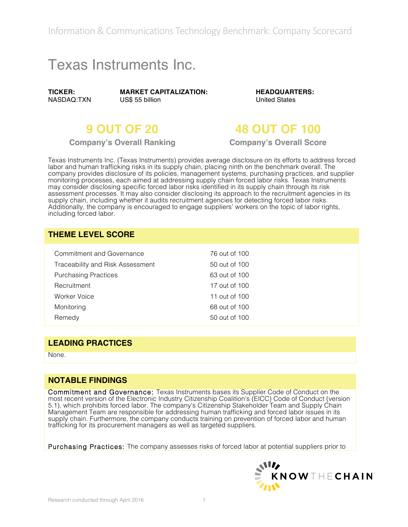Information & Communications Technology Benchmark: Company Scorecard

# Texas Instruments Inc.

**TICKER:** NASDAQ:TXN **MARKET CAPITALIZATION:** US\$ 55 billion

**HEADQUARTERS:** United States

## **9 OUT OF 20 48 OUT OF 100**

**Company's Overall Ranking Company's Overall Score**

Texas Instruments Inc. (Texas Instruments) provides average disclosure on its efforts to address forced labor and human trafficking risks in its supply chain, placing ninth on the benchmark overall. The company provides disclosure of its policies, management systems, purchasing practices, and supplier monitoring processes, each aimed at addressing supply chain forced labor risks. Texas Instruments may consider disclosing specific forced labor risks identified in its supply chain through its risk assessment processes. It may also consider disclosing its approach to the recruitment agencies in its supply chain, including whether it audits recruitment agencies for detecting forced labor risks. Additionally, the company is encouraged to engage suppliers' workers on the topic of labor rights, including forced labor.

### **THEME LEVEL SCORE**

| Commitment and Governance        | 76 out of 100 |  |
|----------------------------------|---------------|--|
| Traceability and Risk Assessment | 50 out of 100 |  |
| <b>Purchasing Practices</b>      | 63 out of 100 |  |
| Recruitment                      | 17 out of 100 |  |
| Worker Voice                     | 11 out of 100 |  |
| Monitoring                       | 68 out of 100 |  |
| Remedy                           | 50 out of 100 |  |

#### **LEADING PRACTICES**

None.

#### **NOTABLE FINDINGS**

Commitment and Governance: Texas Instruments bases its Supplier Code of Conduct on the most recent version of the Electronic Industry Citizenship Coalition's (EICC) Code of Conduct (version 5.1), which prohibits forced labor. The company's Citizenship Stakeholder Team and Supply Chain Management Team are responsible for addressing human trafficking and forced labor issues in its supply chain. Furthermore, the company conducts training on prevention of forced labor and human trafficking for its procurement managers as well as targeted suppliers.

Purchasing Practices: The company assesses risks of forced labor at potential suppliers prior to